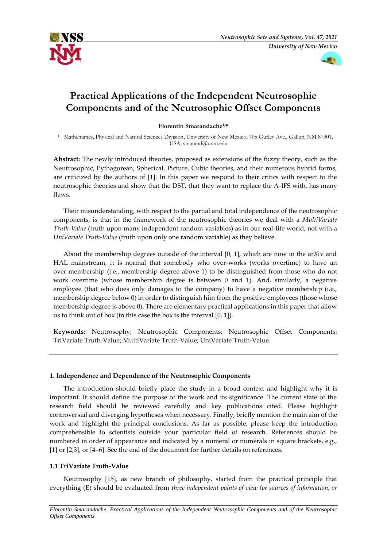



# **Practical Applications of the Independent Neutrosophic Components and of the Neutrosophic Offset Components**

**Florentin Smarandache1,\***

<sup>1</sup> Mathematics, Physical and Natural Sciences Division, University of New Mexico, 705 Gurley Ave., Gallup, NM 87301, USA; smarand@unm.edu

**Abstract:** The newly introduced theories, proposed as extensions of the fuzzy theory, such as the Neutrosophic, Pythagorean, Spherical, Picture, Cubic theories, and their numerous hybrid forms, are criticized by the authors of [1]. In this paper we respond to their critics with respect to the neutrosophic theories and show that the DST, that they want to replace the A-IFS with, has many flaws.

Their misunderstanding, with respect to the partial and total independence of the neutrosophic components, is that in the framework of the neutrosophic theories we deal with a *MultiVariate Truth-Value* (truth upon many independent random variables) as in our real-life world, not with a *UniVariate Truth-Value* (truth upon only one random variable) as they believe.

About the membership degrees outside of the interval  $[0, 1]$ , which are now in the arXiv and HAL mainstream, it is normal that somebody who over-works (works overtime) to have an over-membership (i.e., membership degree above 1) to be distinguished from those who do not work overtime (whose membership degree is between 0 and 1). And, similarly, a negative employee (that who does only damages to the company) to have a negative membership (i.e., membership degree below 0) in order to distinguish him from the positive employees (those whose membership degree is above 0). There are elementary practical applications in this paper that allow us to think out of box (in this case the box is the interval [0, 1]).

**Keywords:** Neutrosophy; Neutrosophic Components; Neutrosophic Offset Components; TriVariate Truth-Value; MultiVariate Truth-Value; UniVariate Truth-Value.

# **1. Independence and Dependence of the Neutrosophic Components**

The introduction should briefly place the study in a broad context and highlight why it is important. It should define the purpose of the work and its significance. The current state of the research field should be reviewed carefully and key publications cited. Please highlight controversial and diverging hypotheses when necessary. Finally, briefly mention the main aim of the work and highlight the principal conclusions. As far as possible, please keep the introduction comprehensible to scientists outside your particular field of research. References should be numbered in order of appearance and indicated by a numeral or numerals in square brackets, e.g., [1] or [2,3], or [4–6]. See the end of the document for further details on references.

# **1.1 TriVariate Truth-Value**

Neutrosophy [15], as new branch of philosophy, started from the practical principle that everything (E) should be evaluated from *three independent points of view (or sources of information, or*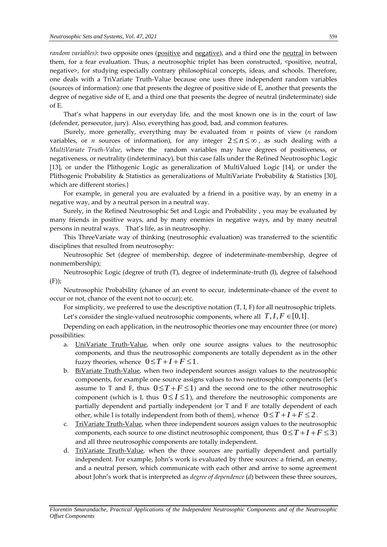*random variables*): two opposite ones (positive and negative), and a third one the neutral in between them, for a fear evaluation. Thus, a neutrosophic triplet has been constructed, <positive, neutral, negative>, for studying especially contrary philosophical concepts, ideas, and schools. Therefore, one deals with a TriVariate Truth-Value because one uses three independent random variables (sources of information): one that presents the degree of positive side of E, another that presents the degree of negative side of E, and a third one that presents the degree of neutral (indeterminate) side of E.

That's what happens in our everyday life, and the most known one is in the court of law (defender, persecutor, jury). Also, everything has good, bad, and common features.

{Surely, more generally, everything may be evaluated from *n* points of view (*n* random variables, or *n* sources of information), for any integer  $2 \le n \le \infty$ , as such dealing with a *MultiVariate Truth-Value*, where the random variables may have degrees of positiveness, or negativeness, or neutrality (indeterminacy), but this case falls under the Refined Neutrosophic Logic [13], or under the Plithogenic Logic as generalization of MultiValued Logic [14], or under the Plithogenic Probability & Statistics as generalizations of MultiVariate Probability & Statistics [30], which are different stories.}

For example, in general you are evaluated by a friend in a positive way, by an enemy in a negative way, and by a neutral person in a neutral way.

Surely, in the Refined Neutrosophic Set and Logic and Probability , you may be evaluated by many friends in positive ways, and by many enemies in negative ways, and by many neutral persons in neutral ways. That's life, as in neutrosophy.

This ThreeVariate way of thinking (neutrosophic evaluation) was transferred to the scientific disciplines that resulted from neutrosophy:

Neutrosophic Set (degree of membership, degree of indeterminate-membership, degree of nonmembership);

Neutrosophic Logic (degree of truth (T), degree of indeterminate-truth (I), degree of falsehood  $(F))$ ;

Neutrosophic Probability (chance of an event to occur, indeterminate-chance of the event to occur or not, chance of the event not to occur); etc.

For simplicity, we preferred to use the descriptive notation (T, I, F) for all neutrosophic triplets. Let's consider the single-valued neutrosophic components, where all  $T, I, F \in [0,1]$ .

Depending on each application, in the neutrosophic theories one may encounter three (or more) possibilities:

- a. UniVariate Truth-Value, when only one source assigns values to the neutrosophic components, and thus the neutrosophic components are totally dependent as in the other fuzzy theories, whence  $0 \leq T + I + F \leq 1$ .
- b. BiVariate Truth-Value, when two independent sources assign values to the neutrosophic components, for example one source assigns values to two neutrosophic components (let's assume to T and F, thus  $0 \leq T + F \leq 1$ ) and the second one to the other neutrosophic component (which is I, thus  $0 \le I \le 1$ ), and therefore the neutrosophic components are partially dependent and partially independent {or T and F are totally dependent of each other, while I is totally independent from both of them}, whence  $0 \leq T + I + F \leq 2$ .
- c. TriVariate Truth-Value, when three independent sources assign values to the neutrosophic components, each source to one distinct neutrosophic component, thus  $0 \leq T + I + F \leq 3$ ) and all three neutrosophic components are totally independent.
- d. TriVariate Truth-Value, when the three sources are partially dependent and partially independent. For example, John's work is evaluated by three sources: a friend, an enemy, and a neutral person, which communicate with each other and arrive to some agreement about John's work that is interpreted as *degree of dependence* (*d*) between these three sources,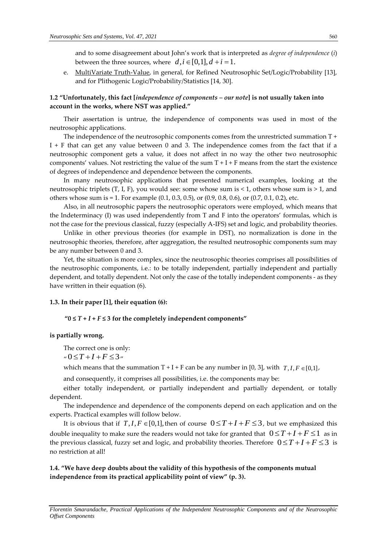and to some disagreement about John's work that is interpreted as *degree of independence* (*i*) between the three sources, where  $d, i \in [0,1], d + i = 1$ .

e. MultiVariate Truth-Value, in general, for Refined Neutrosophic Set/Logic/Probability [13], and for Plithogenic Logic/Probability/Statistics [14, 30].

## **1.2 "Unfortunately, this fact [***independence of components – our note***] is not usually taken into account in the works, where NST was applied."**

Their assertation is untrue, the independence of components was used in most of the neutrosophic applications.

The independence of the neutrosophic components comes from the unrestricted summation T + I + F that can get any value between 0 and 3. The independence comes from the fact that if a neutrosophic component gets a value, it does not affect in no way the other two neutrosophic components' values. Not restricting the value of the sum  $T + I + F$  means from the start the existence of degrees of independence and dependence between the components.

In many neutrosophic applications that presented numerical examples, looking at the neutrosophic triplets  $(T, I, F)$ , you would see: some whose sum is  $\leq 1$ , others whose sum is  $\geq 1$ , and others whose sum is = 1. For example (0.1, 0.3, 0.5), or (0.9, 0.8, 0.6), or (0.7, 0.1, 0.2), etc.

Also, in all neutrosophic papers the neutrosophic operators were employed, which means that the Indeterminacy (I) was used independently from T and F into the operators' formulas, which is not the case for the previous classical, fuzzy (especially A-IFS) set and logic, and probability theories.

Unlike in other previous theories (for example in DST), no normalization is done in the neutrosophic theories, therefore, after aggregation, the resulted neutrosophic components sum may be any number between 0 and 3.

Yet, the situation is more complex, since the neutrosophic theories comprises all possibilities of the neutrosophic components, i.e.: to be totally independent, partially independent and partially dependent, and totally dependent. Not only the case of the totally independent components - as they have written in their equation (6).

#### **1.3. In their paper [1], their equation (6):**

## **"0 ≤** *T* **+** *I* **+** *F* **≤ 3 for the completely independent components"**

#### **is partially wrong.**

The correct one is only:

"  $0 \le T + I + F \le 3$ "

which means that the summation  $T + I + F$  can be any number in [0, 3], with  $T, I, F \in [0,1]$ ,

and consequently, it comprises all possibilities, i.e. the components may be:

either totally independent, or partially independent and partially dependent, or totally dependent.

The independence and dependence of the components depend on each application and on the experts. Practical examples will follow below.

It is obvious that if  $T, I, F \in [0,1]$ , then of course  $0 \leq T + I + F \leq 3$ , but we emphasized this double inequality to make sure the readers would not take for granted that  $0 \leq T + I + F \leq 1$  as in the previous classical, fuzzy set and logic, and probability theories. Therefore  $0 \le T + I + F \le 3$  is no restriction at all!

## **1.4. "We have deep doubts about the validity of this hypothesis of the components mutual independence from its practical applicability point of view" (p. 3).**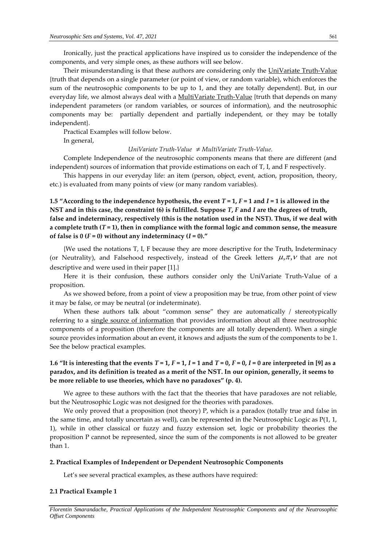Ironically, just the practical applications have inspired us to consider the independence of the components, and very simple ones, as these authors will see below.

Their misunderstanding is that these authors are considering only the UniVariate Truth-Value {truth that depends on a single parameter (or point of view, or random variable), which enforces the sum of the neutrosophic components to be up to 1, and they are totally dependent}. But, in our everyday life, we almost always deal with a MultiVariate Truth-Value {truth that depends on many independent parameters (or random variables, or sources of information), and the neutrosophic components may be: partially dependent and partially independent, or they may be totally independent}.

Practical Examples will follow below.

In general,

# *UniVariate Truth-Value MultiVariate Truth-Value*.

Complete Independence of the neutrosophic components means that there are different (and independent) sources of information that provide estimations on each of T, I, and F respectively.

This happens in our everyday life: an item (person, object, event, action, proposition, theory, etc.) is evaluated from many points of view (or many random variables).

**1.5 "According to the independence hypothesis, the event**  $T = 1$ **,**  $F = 1$  **and**  $I = 1$  **is allowed in the NST and in this case, the constraint (6) is fulfilled. Suppose** *T***,** *F* **and** *I* **are the degrees of truth, false and indeterminacy, respectively (this is the notation used in the NST). Thus, if we deal with**  a complete truth  $(T = 1)$ , then in compliance with the formal logic and common sense, the measure of false is  $0$  ( $F = 0$ ) without any indeterminacy ( $I = 0$ )."

{We used the notations T, I, F because they are more descriptive for the Truth, Indeterminacy (or Neutrality), and Falsehood respectively, instead of the Greek letters  $\mu, \pi, \nu$  that are not descriptive and were used in their paper [1].}

Here it is their confusion, these authors consider only the UniVariate Truth-Value of a proposition.

As we showed before, from a point of view a proposition may be true, from other point of view it may be false, or may be neutral (or indeterminate).

When these authors talk about "common sense" they are automatically / stereotypically referring to a single source of information that provides information about all three neutrosophic components of a proposition (therefore the components are all totally dependent). When a single source provides information about an event, it knows and adjusts the sum of the components to be 1. See the below practical examples.

# **1.6** "It is interesting that the events  $T = 1$ ,  $F = 1$ ,  $I = 1$  and  $T = 0$ ,  $F = 0$ ,  $I = 0$  are interpreted in [9] as a **paradox, and its definition is treated as a merit of the NST. In our opinion, generally, it seems to be more reliable to use theories, which have no paradoxes" (p. 4).**

We agree to these authors with the fact that the theories that have paradoxes are not reliable, but the Neutrosophic Logic was not designed for the theories with paradoxes.

We only proved that a proposition (not theory) P, which is a paradox (totally true and false in the same time, and totally uncertain as well), can be represented in the Neutrosophic Logic as P(1, 1, 1), while in other classical or fuzzy and fuzzy extension set, logic or probability theories the proposition P cannot be represented, since the sum of the components is not allowed to be greater than 1.

#### **2. Practical Examples of Independent or Dependent Neutrosophic Components**

Let's see several practical examples, as these authors have required:

#### **2.1 Practical Example 1**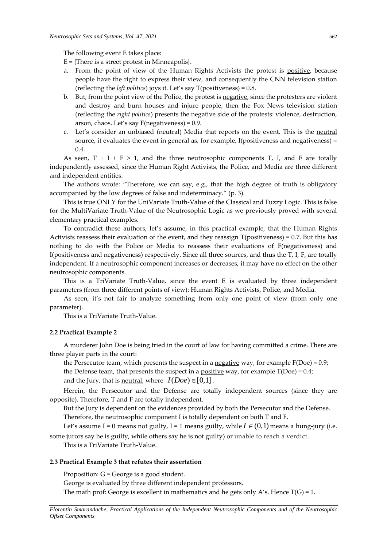The following event E takes place:

 $E = {There is a street protest in Minnesota}.$ 

- a. From the point of view of the Human Rights Activists the protest is positive, because people have the right to express their view, and consequently the CNN television station (reflecting the *left politics*) joys it. Let's say T(positiveness) = 0.8.
- b. But, from the point view of the Police, the protest is negative, since the protesters are violent and destroy and burn houses and injure people; then the Fox News television station (reflecting the *right politics*) presents the negative side of the protests: violence, destruction, arson, chaos. Let's say F(negativeness) = 0.9.
- c. Let's consider an unbiased (neutral) Media that reports on the event. This is the neutral source, it evaluates the event in general as, for example, I(positiveness and negativeness) = 0.4.

As seen,  $T + I + F > 1$ , and the three neutrosophic components T, I, and F are totally independently assessed, since the Human Right Activists, the Police, and Media are three different and independent entities.

The authors wrote: "Therefore, we can say, e.g., that the high degree of truth is obligatory accompanied by the low degrees of false and indeterminacy." (p. 3).

This is true ONLY for the UniVariate Truth-Value of the Classical and Fuzzy Logic. This is false for the MultiVariate Truth-Value of the Neutrosophic Logic as we previously proved with several elementary practical examples.

To contradict these authors, let's assume, in this practical example, that the Human Rights Activists reassess their evaluation of the event, and they reassign T(positiveness) = 0.7. But this has nothing to do with the Police or Media to reassess their evaluations of F(negativeness) and I(positiveness and negativeness) respectively. Since all three sources, and thus the T, I, F, are totally independent. If a neutrosophic component increases or decreases, it may have no effect on the other neutrosophic components.

This is a TriVariate Truth-Value, since the event E is evaluated by three independent parameters (from three different points of view): Human Rights Activists, Police, and Media.

As seen, it's not fair to analyze something from only one point of view (from only one parameter).

This is a TriVariate Truth-Value.

## **2.2 Practical Example 2**

A murderer John Doe is being tried in the court of law for having committed a crime. There are three player parts in the court:

the Persecutor team, which presents the suspect in a <u>negative</u> way, for example  $F(Doe) = 0.9$ ; the Defense team, that presents the suspect in a <u>positive</u> way, for example  $T(Doe) = 0.4$ ; and the Jury, that is <u>neutral</u>, where  $I(Doe) \in [0,1]$ .

Herein, the Persecutor and the Defense are totally independent sources (since they are opposite). Therefore, T and F are totally independent.

But the Jury is dependent on the evidences provided by both the Persecutor and the Defense. Therefore, the neutrosophic component I is totally dependent on both T and F.

Let's assume  $I = 0$  means not guilty,  $I = 1$  means guilty, while  $I \in (0,1)$  means a hung-jury (i.e. some jurors say he is guilty, while others say he is not guilty) or unable to reach a verdict.

This is a TriVariate Truth-Value.

#### **2.3 Practical Example 3 that refutes their assertation**

Proposition: G = George is a good student.

George is evaluated by three different independent professors.

The math prof: George is excellent in mathematics and he gets only  $A$ 's. Hence  $T(G) = 1$ .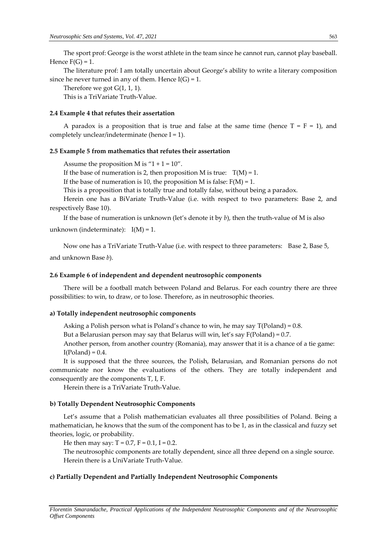The sport prof: George is the worst athlete in the team since he cannot run, cannot play baseball. Hence  $F(G) = 1$ .

The literature prof: I am totally uncertain about George's ability to write a literary composition since he never turned in any of them. Hence  $I(G) = 1$ .

Therefore we got G(1, 1, 1).

This is a TriVariate Truth-Value.

#### **2.4 Example 4 that refutes their assertation**

A paradox is a proposition that is true and false at the same time (hence  $T = F = 1$ ), and completely unclear/indeterminate (hence  $I = 1$ ).

## **2.5 Example 5 from mathematics that refutes their assertation**

Assume the proposition M is " $1 + 1 = 10$ ".

If the base of numeration is 2, then proposition M is true:  $T(M) = 1$ .

If the base of numeration is 10, the proposition M is false:  $F(M) = 1$ .

This is a proposition that is totally true and totally false, without being a paradox.

Herein one has a BiVariate Truth-Value (i.e. with respect to two parameters: Base 2, and respectively Base 10).

If the base of numeration is unknown (let's denote it by *b*), then the truth-value of M is also unknown (indeterminate):  $I(M) = 1$ .

Now one has a TriVariate Truth-Value (i.e. with respect to three parameters: Base 2, Base 5, and unknown Base *b*).

#### **2.6 Example 6 of independent and dependent neutrosophic components**

There will be a football match between Poland and Belarus. For each country there are three possibilities: to win, to draw, or to lose. Therefore, as in neutrosophic theories.

## **a) Totally independent neutrosophic components**

Asking a Polish person what is Poland's chance to win, he may say  $T(Poland) = 0.8$ .

But a Belarusian person may say that Belarus will win, let's say F(Poland) = 0.7.

Another person, from another country (Romania), may answer that it is a chance of a tie game:  $I(Poland) = 0.4.$ 

It is supposed that the three sources, the Polish, Belarusian, and Romanian persons do not communicate nor know the evaluations of the others. They are totally independent and consequently are the components T, I, F.

Herein there is a TriVariate Truth-Value.

#### **b) Totally Dependent Neutrosophic Components**

Let's assume that a Polish mathematician evaluates all three possibilities of Poland. Being a mathematician, he knows that the sum of the component has to be 1, as in the classical and fuzzy set theories, logic, or probability.

He then may say:  $T = 0.7$ ,  $F = 0.1$ ,  $I = 0.2$ .

The neutrosophic components are totally dependent, since all three depend on a single source. Herein there is a UniVariate Truth-Value.

## **c) Partially Dependent and Partially Independent Neutrosophic Components**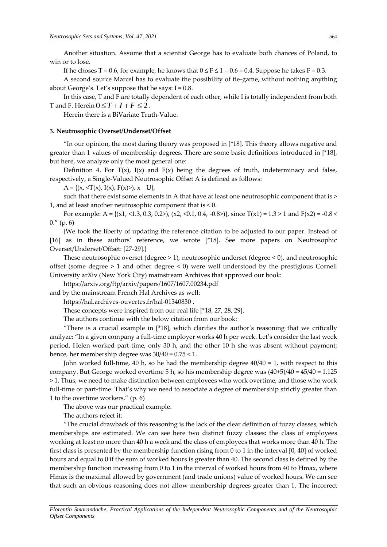Another situation. Assume that a scientist George has to evaluate both chances of Poland, to win or to lose.

If he choses  $T = 0.6$ , for example, he knows that  $0 \le F \le 1 - 0.6 = 0.4$ . Suppose he takes  $F = 0.3$ .

A second source Marcel has to evaluate the possibility of tie-game, without nothing anything about George's. Let's suppose that he says:  $I = 0.8$ .

In this case, T and F are totally dependent of each other, while I is totally independent from both T and F. Herein  $0 \le T + I + F \le 2$ .

Herein there is a BiVariate Truth-Value.

#### **3. Neutrosophic Overset/Underset/Offset**

"In our opinion, the most daring theory was proposed in [\*18]. This theory allows negative and greater than 1 values of membership degrees. There are some basic definitions introduced in [\*18], but here, we analyze only the most general one:

Definition 4. For  $T(x)$ ,  $I(x)$  and  $F(x)$  being the degrees of truth, indeterminacy and false, respectively, a Single-Valued Neutrosophic Offset A is defined as follows:

 $A = \{(x, \langle T(x), I(x), F(x) \rangle), x \cup \},$ 

such that there exist some elements in A that have at least one neutrosophic component that is > 1, and at least another neutrosophic component that is < 0.

For example: A = { $(x1, <1.3, 0.3, 0.2$ },  $(x2, <0.1, 0.4, -0.8$ }}, since T $(x1) = 1.3 > 1$  and F $(x2) = -0.8 <$ 0." (p. 6)

{We took the liberty of updating the reference citation to be adjusted to our paper. Instead of [16] as in these authors' reference, we wrote [\*18]. See more papers on Neutrosophic Overset/Underset/Offset: [27-29].}

These neutrosophic overset (degree > 1), neutrosophic underset (degree < 0), and neutrosophic offset (some degree > 1 and other degree < 0) were well understood by the prestigious Cornell University arXiv (New York City) mainstream Archives that approved our book:

https://arxiv.org/ftp/arxiv/papers/1607/1607.00234.pdf

and by the mainstream French Hal Archives as well:

https://hal.archives-ouvertes.fr/hal-01340830 .

These concepts were inspired from our real life [\*18, 27, 28, 29].

The authors continue with the below citation from our book:

"There is a crucial example in [\*18], which clarifies the author's reasoning that we critically analyze: "In a given company a full-time employer works 40 h per week. Let's consider the last week period. Helen worked part-time, only 30 h, and the other 10 h she was absent without payment; hence, her membership degree was 30/40 = 0.75 < 1.

John worked full-time, 40 h, so he had the membership degree 40/40 = 1, with respect to this company. But George worked overtime 5 h, so his membership degree was (40+5)/40 = 45/40 = 1.125 > 1. Thus, we need to make distinction between employees who work overtime, and those who work full-time or part-time. That's why we need to associate a degree of membership strictly greater than 1 to the overtime workers." (p. 6)

The above was our practical example.

The authors reject it:

"The crucial drawback of this reasoning is the lack of the clear definition of fuzzy classes, which memberships are estimated. We can see here two distinct fuzzy classes: the class of employees working at least no more than 40 h a week and the class of employees that works more than 40 h. The first class is presented by the membership function rising from 0 to 1 in the interval [0, 40] of worked hours and equal to 0 if the sum of worked hours is greater than 40. The second class is defined by the membership function increasing from 0 to 1 in the interval of worked hours from 40 to Hmax, where Hmax is the maximal allowed by government (and trade unions) value of worked hours. We can see that such an obvious reasoning does not allow membership degrees greater than 1. The incorrect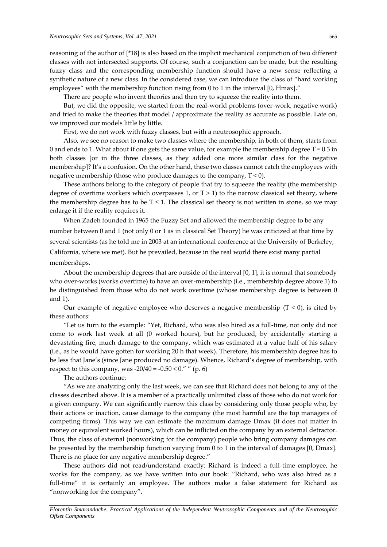reasoning of the author of [\*18] is also based on the implicit mechanical conjunction of two different classes with not intersected supports. Of course, such a conjunction can be made, but the resulting fuzzy class and the corresponding membership function should have a new sense reflecting a synthetic nature of a new class. In the considered case, we can introduce the class of "hard working employees" with the membership function rising from 0 to 1 in the interval [0, Hmax]."

There are people who invent theories and then try to squeeze the reality into them.

But, we did the opposite, we started from the real-world problems (over-work, negative work) and tried to make the theories that model / approximate the reality as accurate as possible. Late on, we improved our models little by little.

First, we do not work with fuzzy classes, but with a neutrosophic approach.

Also, we see no reason to make two classes where the membership, in both of them, starts from 0 and ends to 1. What about if one gets the same value, for example the membership degree  $T = 0.3$  in both classes [or in the three classes, as they added one more similar class for the negative membership]? It's a confusion. On the other hand, these two classes cannot catch the employees with negative membership (those who produce damages to the company, T < 0).

These authors belong to the category of people that try to squeeze the reality (the membership degree of overtime workers which overpasses 1, or  $T > 1$ ) to the narrow classical set theory, where the membership degree has to be  $T \le 1$ . The classical set theory is not written in stone, so we may enlarge it if the reality requires it.

When Zadeh founded in 1965 the Fuzzy Set and allowed the membership degree to be any number between 0 and 1 (not only 0 or 1 as in classical Set Theory) he was criticized at that time by several scientists (as he told me in 2003 at an international conference at the University of Berkeley, California, where we met). But he prevailed, because in the real world there exist many partial memberships.

About the membership degrees that are outside of the interval [0, 1], it is normal that somebody who over-works (works overtime) to have an over-membership (i.e., membership degree above 1) to be distinguished from those who do not work overtime (whose membership degree is between 0 and 1).

Our example of negative employee who deserves a negative membership  $(T < 0)$ , is cited by these authors:

"Let us turn to the example: "Yet, Richard, who was also hired as a full-time, not only did not come to work last week at all (0 worked hours), but he produced, by accidentally starting a devastating fire, much damage to the company, which was estimated at a value half of his salary (i.e., as he would have gotten for working 20 h that week). Therefore, his membership degree has to be less that Jane's (since Jane produced no damage). Whence, Richard's degree of membership, with respect to this company, was  $-20/40 = -0.50 < 0.'''$  " (p. 6)

The authors continue:

"As we are analyzing only the last week, we can see that Richard does not belong to any of the classes described above. It is a member of a practically unlimited class of those who do not work for a given company. We can significantly narrow this class by considering only those people who, by their actions or inaction, cause damage to the company (the most harmful are the top managers of competing firms). This way we can estimate the maximum damage Dmax (it does not matter in money or equivalent worked hours), which can be inflicted on the company by an external detractor. Thus, the class of external (nonworking for the company) people who bring company damages can be presented by the membership function varying from 0 to 1 in the interval of damages [0, Dmax]. There is no place for any negative membership degree."

These authors did not read/understand exactly: Richard is indeed a full-time employee, he works for the company, as we have written into our book: "Richard, who was also hired as a full-time" it is certainly an employee. The authors make a false statement for Richard as "nonworking for the company".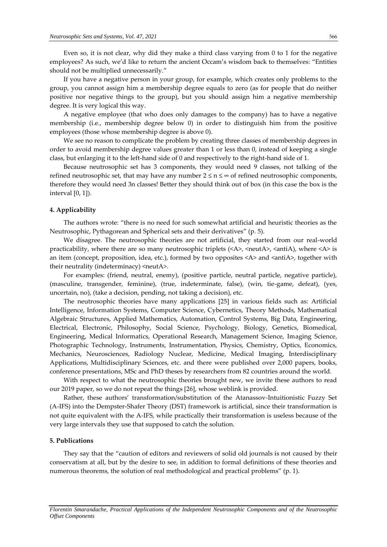Even so, it is not clear, why did they make a third class varying from  $0$  to  $1$  for the negative employees? As such, we'd like to return the ancient Occam's wisdom back to themselves: "Entities should not be multiplied unnecessarily."

If you have a negative person in your group, for example, which creates only problems to the group, you cannot assign him a membership degree equals to zero (as for people that do neither positive nor negative things to the group), but you should assign him a negative membership degree. It is very logical this way.

A negative employee (that who does only damages to the company) has to have a negative membership (i.e., membership degree below 0) in order to distinguish him from the positive employees (those whose membership degree is above 0).

We see no reason to complicate the problem by creating three classes of membership degrees in order to avoid membership degree values greater than 1 or less than 0, instead of keeping a single class, but enlarging it to the left-hand side of 0 and respectively to the right-hand side of 1.

Because neutrosophic set has 3 components, they would need 9 classes, not talking of the refined neutrosophic set, that may have any number  $2 \le n \le \infty$  of refined neutrosophic components, therefore they would need 3n classes! Better they should think out of box (in this case the box is the interval [0, 1]).

## **4. Applicability**

The authors wrote: "there is no need for such somewhat artificial and heuristic theories as the Neutrosophic, Pythagorean and Spherical sets and their derivatives" (p. 5).

We disagree. The neutrosophic theories are not artificial, they started from our real-world practicability, where there are so many neutrosophic triplets (<A>, <neutA>, <antiA), where <A> is an item (concept, proposition, idea, etc.), formed by two opposites  $\langle A \rangle$  and  $\langle \text{anti}A \rangle$ , together with their neutrality (indeterminacy) <neutA>.

For examples: (friend, neutral, enemy), (positive particle, neutral particle, negative particle), (masculine, transgender, feminine), (true, indeterminate, false), (win, tie-game, defeat), (yes, uncertain, no), (take a decision, pending, not taking a decision), etc.

The neutrosophic theories have many applications [25] in various fields such as: Artificial Intelligence, Information Systems, Computer Science, Cybernetics, Theory Methods, Mathematical Algebraic Structures, Applied Mathematics, Automation, Control Systems, Big Data, Engineering, Electrical, Electronic, Philosophy, Social Science, Psychology, Biology, Genetics, Biomedical, Engineering, Medical Informatics, Operational Research, Management Science, Imaging Science, Photographic Technology, Instruments, Instrumentation, Physics, Chemistry, Optics, Economics, Mechanics, Neurosciences, Radiology Nuclear, Medicine, Medical Imaging, Interdisciplinary Applications, Multidisciplinary Sciences, etc. and there were published over 2,000 papers, books, conference presentations, MSc and PhD theses by researchers from 82 countries around the world.

With respect to what the neutrosophic theories brought new, we invite these authors to read our 2019 paper, so we do not repeat the things [26], whose weblink is provided.

Rather, these authors' transformation/substitution of the Atanassov-Intuitionistic Fuzzy Set (A-IFS) into the Dempster-Shafer Theory (DST) framework is artificial, since their transformation is not quite equivalent with the A-IFS, while practically their transformation is useless because of the very large intervals they use that supposed to catch the solution.

#### **5. Publications**

They say that the "caution of editors and reviewers of solid old journals is not caused by their conservatism at all, but by the desire to see, in addition to formal definitions of these theories and numerous theorems, the solution of real methodological and practical problems" (p. 1).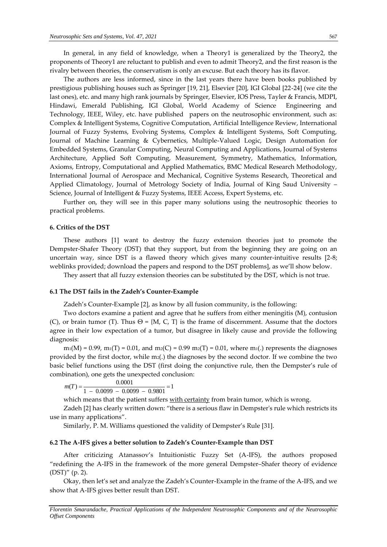In general, in any field of knowledge, when a Theory1 is generalized by the Theory2, the proponents of Theory1 are reluctant to publish and even to admit Theory2, and the first reason is the rivalry between theories, the conservatism is only an excuse. But each theory has its flavor.

The authors are less informed, since in the last years there have been books published by prestigious publishing houses such as Springer [19, 21], Elsevier [20], IGI Global [22-24] (we cite the last ones), etc. and many high rank journals by Springer, Elsevier, IOS Press, Tayler & Francis, MDPI, Hindawi, Emerald Publishing, IGI Global, World Academy of Science Engineering and Technology, IEEE, Wiley, etc. have published papers on the neutrosophic environment, such as: Complex & Intelligent Systems, Cognitive Computation, Artificial Intelligence Review, International Journal of Fuzzy Systems, Evolving Systems, Complex & Intelligent Systems, Soft Computing, Journal of Machine Learning & Cybernetics, Multiple-Valued Logic, Design Automation for Embedded Systems, Granular Computing, Neural Computing and Applications, Journal of Systems Architecture, Applied Soft Computing, Measurement, Symmetry, Mathematics, Information, Axioms, Entropy, Computational and Applied Mathematics, BMC Medical Research Methodology, International Journal of Aerospace and Mechanical, Cognitive Systems Research, Theoretical and Applied Climatology, Journal of Metrology Society of India, Journal of King Saud University – Science, Journal of Intelligent & Fuzzy Systems, IEEE Access, Expert Systems, etc.

Further on, they will see in this paper many solutions using the neutrosophic theories to practical problems.

#### **6. Critics of the DST**

These authors [1] want to destroy the fuzzy extension theories just to promote the Dempster-Shafer Theory (DST) that they support, but from the beginning they are going on an uncertain way, since DST is a flawed theory which gives many counter-intuitive results [2-8; weblinks provided; download the papers and respond to the DST problems], as we'll show below.

They assert that all fuzzy extension theories can be substituted by the DST, which is not true.

#### **6.1 The DST fails in the Zadeh's Counter-Example**

Zadeh's Counter-Example [2], as know by all fusion community, is the following:

Two doctors examine a patient and agree that he suffers from either meningitis (M), contusion (C), or brain tumor (T). Thus  $\Theta = \{M, C, T\}$  is the frame of discernment. Assume that the doctors agree in their low expectation of a tumor, but disagree in likely cause and provide the following diagnosis:

 $m_1(M) = 0.99$ ,  $m_1(T) = 0.01$ , and  $m_2(C) = 0.99$   $m_2(T) = 0.01$ , where  $m_1(.)$  represents the diagnoses provided by the first doctor, while m2(.) the diagnoses by the second doctor. If we combine the two basic belief functions using the DST (first doing the conjunctive rule, then the Dempster's rule of

combination), one gets the unexpected conclusion:  
\n
$$
m(T) = \frac{0.0001}{1 - 0.0099 - 0.0099 - 0.9801} = 1
$$

which means that the patient suffers with certainty from brain tumor, which is wrong.

Zadeh [2] has clearly written down: "there is a serious flaw in Dempster's rule which restricts its use in many applications".

Similarly, P. M. Williams questioned the validity of Dempster's Rule [31].

#### **6.2 The A-IFS gives a better solution to Zadeh's Counter-Example than DST**

After criticizing Atanassov's Intuitionistic Fuzzy Set (A-IFS), the authors proposed "redefining the A-IFS in the framework of the more general Dempster–Shafer theory of evidence (DST)" (p. 2).

Okay, then let's set and analyze the Zadeh's Counter-Example in the frame of the A-IFS, and we show that A-IFS gives better result than DST.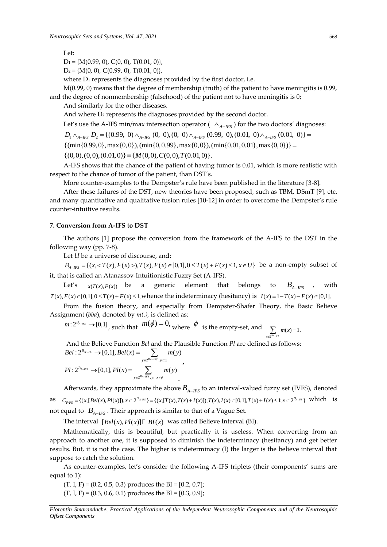Let:

 $D_1 = \{M(0.99, 0), C(0, 0), T(0.01, 0)\},\$ 

 $D_2 = \{M(0, 0), C(0.99, 0), T(0.01, 0)\},\$ 

where  $D_1$  represents the diagnoses provided by the first doctor, i.e.

M(0.99, 0) means that the degree of membership (truth) of the patient to have meningitis is 0.99, and the degree of nonmembership (falsehood) of the patient not to have meningitis is 0;

And similarly for the other diseases.

And where  $D_2$  represents the diagnoses provided by the second doctor.

Let's use the A-IFS min/max intersection operator  $(\Lambda_{A-IFS})$  for the two doctors' diagnoses:

nd similarly for the other diseases.<br>
and where D<sub>2</sub> represents the diagnoses provided by the second doctor.<br>
Et's use the A-IFS min/max intersection operator ( $\Lambda_{A-HFS}$ ) for the two doctors' diagnoses<br>  $\Lambda_1 \Lambda_{A-HFS} D_2 = \{($ Let s use the A-IF3 film/max intersection operator<br>  $D_1 \wedge_{A-H5} D_2 = \{(0.99, 0) \wedge_{A-H5} (0, 0), (0, 0) \wedge_{A-H5}$ <br>  $\{(\min\{0.99, 0\}, \max\{0, 0\}), (\min\{0, 0.99\}, \max\{0,$ <br>  $\{(0,0), (0,0), (0.01, 0)\} \equiv \{M(0,0), C(0,0), T(0.01,$ <br>
A JES shows that And similarly for the other diseases.<br>And where D<sub>2</sub> represents the diagnoses provided by the second doctor.<br>Let's use the A-IFS min/max intersection operator ( $\Lambda_{A-HSS}$ ) for the two do<br> $D_1 \Lambda_{A-HSS} D_2 = \{(0.99, 0) \Lambda_{A-HSS} (0,$  $\wedge_{A-HSS}$  (0, 0), (0, 0),<br>  $\wedge_{A-HSS}$  (0, 0), (0, 0),<br>  $M(0,0), C(0,0), T$ <br>
me of the nation d similarly for the other diseases.<br>d where D<sub>2</sub> represents the diagnoses provided by the second doctor.<br>'s use the A-IFS min/max intersection operator ( $\Lambda_{A-HSS}$ ) for the two doctors' diagnoses:<br> $\Lambda_{A-HSS} D_2 = \{(0.99, 0) \Lambda_{$ 

 $\{(\min\{0.99,0\},\max\{0,0\}),(\min\{0,0.99\},\max\{0,0\}),(\min\{0.01,0.01\},\max\{0,0\})\}$ 

 $\{(0,0), (0,0), (0.01,0)\}\equiv \{M(0,0), C(0,0), T(0.01,0)\}.$ 

A-IFS shows that the chance of the patient of having tumor is 0.01, which is more realistic with respect to the chance of tumor of the patient, than DST's.

More counter-examples to the Dempster's rule have been published in the literature [3-8].

After these failures of the DST, new theories have been proposed, such as TBM, DSmT [9], etc. and many quantitative and qualitative fusion rules [10-12] in order to overcome the Dempster's rule counter-intuitive results.

## **7. Conversion from A-IFS to DST**

The authors [1] propose the conversion from the framework of the A-IFS to the DST in the following way (pp. 7-8).

Let *U* be a universe of discourse, and:

 ${f_1}$  propose the extrement from the framework of the 11<br>ving way (pp. 7-8).<br>Let *U* be a universe of discourse, and:<br> $B_{A-HSS} = \{(x, < T(x), F(x) >), T(x), F(x) \in [0,1], 0 \le T(x) + F(x) \le 1, x \in U\}$  be a be a non-empty subset of it, that is called an Atanassov-Intuitionistic Fuzzy Set (A-IFS).

Let's  $x(T(x), F(x))$  be a generic element that belongs to  $B$ <sub>*A*-*IFS* '</sub> , with *T(x), F(x)*  $\in$  [0,1],  $0 \le T(x) + F(x) \le 1$ , whence the indeterminacy (hesitancy) is  $I(x) = 1 - T(x) - F(x) \in [0,1]$ .

From the fusion theory, and especially from Dempster-Shafer Theory, the Basic Believe Assignment (*bba*), denoted by *m(.),* is defined as:

 $m: 2^{B_{A\text{-}BS}} \rightarrow [0,1]$ , such that  $m(\phi) = 0$ , where  $\phi$  is the empty-set, and  $\sum_{m}(x) = 1$ . 2  $x \in 2^{B_A - IFS}$  $\sum_{x \in 2^{B_A - IFS}} m(x) =$ 

And the Believe Function *Bel* and the Plausible Function *Pl* are defined as follows:<br> *Bel* :  $2^{B_{A-FIS}} \rightarrow [0,1], Bel(x) = \sum_{x \in \mathbb{R}^n} m(y)$ 

$$
Bel: 2^{B_{A-HS}} \to [0,1], Bel(x) = \sum_{y \in 2^{B_{A-HS}}, y \subseteq x} m(y)
$$
\n
$$
Pl: 2^{B_{A-HS}} \to [0,1], Pl(x) = \sum_{y \in 2^{B_{A-HS}}, y \cap x \neq \phi} m(y)
$$

Afterwards, they approximate the above  $B_{A-IFS}$  to an interval-valued fuzzy set (IVFS), denoted as  ${Pl: 2^{B_{A-HS}} \rightarrow [0,1], Pl(x) = \sum_{y \in 2^{B_{A-HS}}, y \cap x \neq \emptyset} m(y)}$ <br>Afterwards, they approximate the above  $B_{A-HS}$  to an interval-valued fuzzy set (IVFS), denot  $C_{NFS} = \{(x, [Bel(x), Pl(x)]), x \in 2^{B_{A-HS}}\} = \{(x, [T(x), T(x) + I(x)]); T(x), I(x) \in [0,1], T(x) + I(x)$ which is not equal to  $\ B_{_{A-IFS}}$  . Their approach is similar to that of a Vague Set.

The interval  $[Bel(x), Pl(x)] \square BI(x)$  was called Believe Interval (BI).

Mathematically, this is beautiful, but practically it is useless. When converting from an approach to another one, it is supposed to diminish the indeterminacy (hesitancy) and get better results. But, it is not the case. The higher is indeterminacy (I) the larger is the believe interval that suppose to catch the solution.

As counter-examples, let's consider the following A-IFS triplets (their components' sums are equal to 1):

 $(T, I, F) = (0.2, 0.5, 0.3)$  produces the BI = [0.2, 0.7];

(T, I, F) = (0.3, 0.6, 0.1) produces the BI = [0.3, 0.9];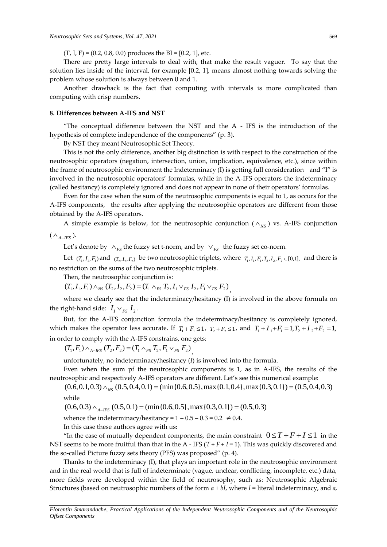(T, I, F) = (0.2, 0.8, 0.0) produces the BI = [0.2, 1], etc.

There are pretty large intervals to deal with, that make the result vaguer. To say that the solution lies inside of the interval, for example [0.2, 1], means almost nothing towards solving the problem whose solution is always between 0 and 1.

Another drawback is the fact that computing with intervals is more complicated than computing with crisp numbers.

#### **8. Differences between A-IFS and NST**

"The conceptual difference between the NST and the A - IFS is the introduction of the hypothesis of complete independence of the components" (p. 3).

By NST they meant Neutrosophic Set Theory.

This is not the only difference, another big distinction is with respect to the construction of the neutrosophic operators (negation, intersection, union, implication, equivalence, etc.), since within the frame of neutrosophic environment the Indeterminacy (I) is getting full consideration and "I" is involved in the neutrosophic operators' formulas, while in the A-IFS operators the indeterminacy (called hesitancy) is completely ignored and does not appear in none of their operators' formulas.

Even for the case when the sum of the neutrosophic components is equal to 1, as occurs for the A-IFS components, the results after applying the neutrosophic operators are different from those obtained by the A-IFS operators.

A simple example is below, for the neutrosophic conjunction ( $\wedge_{NS}$ ) vs. A-IFS conjunction

 $(\wedge_{A-IFS}).$ 

Let's denote by  $\land_{FS}$  the fuzzy set t-norm, and by  $\lor_{FS}$  the fuzzy set co-norm.

Let  $(T_1, I_1, F_1)$  and  $(T_2, I_2, F_2)$  be two neutrosophic triplets, where  $T_1, I_1, F_1, T_2, I_2, F_2 \in [0,1]$ , and there is

Then, the neutrosophic conjunction is:

no restriction on the sums of the two neutrosophic triplets. Then, the neutrosophic conjunction is: 
$$
(T_1, I_1, F_1) \wedge_{NS} (T_2, I_2, F_2) = (T_1 \wedge_{FS} T_2, I_1 \vee_{FS} I_2, F_1 \vee_{FS} F_2)
$$

where we clearly see that the indeterminacy/hesitancy (I) is involved in the above formula on the right-hand side:  $I_1 \vee_{FS} I_2$ .

,

But, for the A-IFS conjunction formula the indeterminacy/hesitancy is completely ignored, but, for the A-IFS conjunction formula the indeterminacy/nesitancy is completely ignored,<br>which makes the operator less accurate. If  $T_1 + F_1 \le 1$ ,  $T_2 + F_2 \le 1$ , and  $T_1 + T_1 + F_1 = 1$ ,  $T_2 + T_2 + F_2 = 1$ , in order to comply with the A-IFS constrains, one gets: der to comply with the A-IFS constrains, one  $(T_1, F_1) \wedge_{A\text{-}H\text{-}S} (T_2, F_2) = (T_1 \wedge_{FS} T_2, F_1 \vee_{FS} F_2)$ 

unfortunately, no indeterminacy/hesitancy (*I*) is involved into the formula.

Even when the sum pf the neutrosophic components is 1, as in A-IFS, the results of the neutrosophic and respectively A-IFS operators are different. Let's see this numerical example: unfortunately, no indeterminacy/hesitancy (*I*) is involved into the formula.<br>Even when the sum pf the neutrosophic components is 1, as in A-IFS, the results of the rosophic and respectively A-IFS operators are different.

while  $(0.6, 0.1, 0.3) \land_{NS} (0.5, 0.4, 0.1) = (\min\{0.6, 0.5\}, \max\{0.1, 0.4\}, \max\{0.3, 0.5\})$ <br>while  $(0.6, 0.3) \land_{A-HFS} (0.5, 0.1) = (\min\{0.6, 0.5\}, \max\{0.3, 0.1\}) = (0.5, 0.3)$ 

whence the indeterminacy/hesitancy =  $1 - 0.5 - 0.3 = 0.2 \neq 0.4$ .

In this case these authors agree with us:

"In the case of mutually dependent components, the main constraint  $0 \le T + F + I \le 1$  in the NST seems to be more fruitful than that in the A - IFS  $(T + F + I = 1)$ . This was quickly discovered and the so-called Picture fuzzy sets theory (PFS) was proposed" (p. 4).

Thanks to the indeterminacy (I), that plays an important role in the neutrosophic environment and in the real world that is full of indeterminate (vague, unclear, conflicting, incomplete, etc.) data, more fields were developed within the field of neutrosophy, such as: Neutrosophic Algebraic Structures (based on neutrosophic numbers of the form *a + bI*, where *I =* literal indeterminacy, and *a,*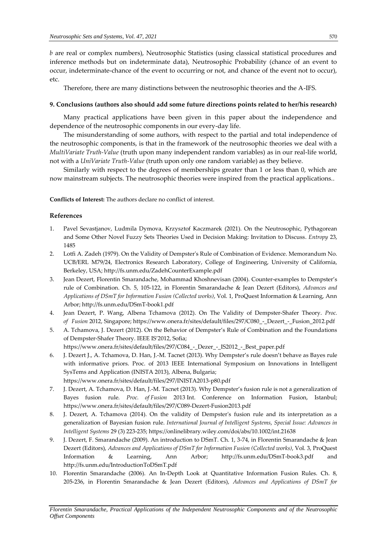*b* are real or complex numbers), Neutrosophic Statistics (using classical statistical procedures and inference methods but on indeterminate data), Neutrosophic Probability (chance of an event to occur, indeterminate-chance of the event to occurring or not, and chance of the event not to occur), etc.

Therefore, there are many distinctions between the neutrosophic theories and the A-IFS.

# **9. Conclusions (authors also should add some future directions points related to her/his research)**

Many practical applications have been given in this paper about the independence and dependence of the neutrosophic components in our every-day life.

The misunderstanding of some authors, with respect to the partial and total independence of the neutrosophic components, is that in the framework of the neutrosophic theories we deal with a *MultiVariate Truth-Value* (truth upon many independent random variables) as in our real-life world, not with a *UniVariate Truth-Value* (truth upon only one random variable) as they believe.

Similarly with respect to the degrees of memberships greater than 1 or less than 0, which are now mainstream subjects. The neutrosophic theories were inspired from the practical applications..

**Conflicts of Interest:** The authors declare no conflict of interest.

# **References**

- 1. Pavel Sevastjanov, Ludmila Dymova, Krzysztof Kaczmarek (2021). On the Neutrosophic, Pythagorean and Some Other Novel Fuzzy Sets Theories Used in Decision Making: Invitation to Discuss. *Entropy* 23, 1485
- 2. Lotfi A. Zadeh (1979). On the Validity of Dempster's Rule of Combination of Evidence. Memorandum No. UCB/ERL M79/24, Electronics Research Laboratory, College of Engineering, University of California, Berkeley, USA;<http://fs.unm.edu/ZadehCounterExample.pdf>
- 3. Jean Dezert, Florentin Smarandache, Mohammad Khoshnevisan (2004). Counter-examples to Dempster's rule of Combination. Ch. 5, 105-122, in Florentin Smarandache & Jean Dezert (Editors), *Advances and Applications of DSmT for Information Fusion (Collected works)*, Vol. 1, ProQuest Information & Learning, Ann Arbor;<http://fs.unm.edu/DSmT-book1.pdf>
- 4. Jean Dezert, P. Wang, Albena Tchamova (2012). On The Validity of Dempster-Shafer Theory. *Proc. of Fusion* 2012, Singapore[; https://www.onera.fr/sites/default/files/297/C080\\_-\\_Dezert\\_-\\_Fusion\\_2012.pdf](https://www.onera.fr/sites/default/files/297/C080_-_Dezert_-_Fusion_2012.pdf)
- 5. A. Tchamova, J. Dezert (2012). On the Behavior of Dempster's Rule of Combination and the Foundations of Dempster-Shafer Theory. IEEE IS'2012, Sofia; [https://www.onera.fr/sites/default/files/297/C084\\_-\\_Dezer\\_-\\_IS2012\\_-\\_Best\\_paper.pdf](https://www.onera.fr/sites/default/files/297/C084_-_Dezer_-_IS2012_-_Best_paper.pdf)
- 6. J. Dezert J., A. Tchamova, D. Han, J.-M. Tacnet (2013). Why Dempster's rule doesn't behave as Bayes rule with informative priors. Proc. of 2013 IEEE International Symposium on Innovations in Intelligent SysTems and Application [\(INISTA 2013\)](http://www.inista.org/), Albena, Bulgaria; <https://www.onera.fr/sites/default/files/297/INISTA2013-p80.pdf>
- 7. J. Dezert, A. Tchamova, D. Han, J.-M. Tacnet (2013). Why Dempster's fusion rule is not a generalization of Bayes fusion rule. *Proc. of [Fusion](http://www.fusion2013.org/)* 2013 Int. Conference on Information Fusion, Istanbul; <https://www.onera.fr/sites/default/files/297/C089-Dezert-Fusion2013.pdf>
- 8. J. Dezert, A. Tchamova (2014). On the validity of Dempster's fusion rule and its interpretation as a generalization of Bayesian fusion rule. *International Journal of Intelligent Systems*, *Special Issue: Advances in Intelligent Systems* 29 (3) 223-235; <https://onlinelibrary.wiley.com/doi/abs/10.1002/int.21638>
- 9. J. Dezert, F. Smarandache (2009). An introduction to DSmT. Ch. 1, 3-74, in Florentin Smarandache & Jean Dezert (Editors), *Advances and Applications of DSmT for Information Fusion (Collected works)*, Vol. 3, ProQuest Information & Learning, Ann Arbor; <http://fs.unm.edu/DSmT-book3.pdf> and <http://fs.unm.edu/IntroductionToDSmT.pdf>
- 10. Florentin Smarandache (2006). An In-Depth Look at Quantitative Information Fusion Rules. Ch. 8, 205-236, in Florentin Smarandache & Jean Dezert (Editors), *Advances and Applications of DSmT for*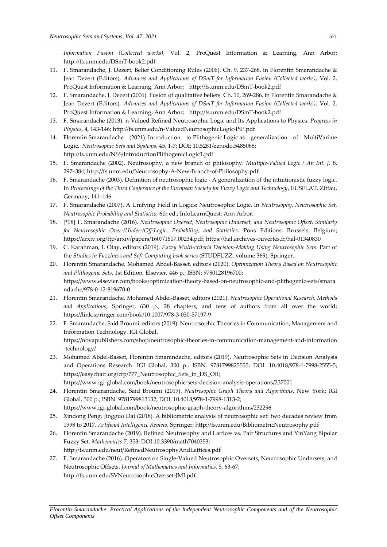*Information Fusion (Collected works)*, Vol. 2, ProQuest Information & Learning, Ann Arbor; <http://fs.unm.edu/DSmT-book2.pdf>

- 11. F. Smarandache, J. Dezert, Belief Conditioning Rules (2006). Ch. 9, 237-268, in Florentin Smarandache & Jean Dezert (Editors), *Advances and Applications of DSmT for Information Fusion (Collected works)*, Vol. 2, ProQuest Information & Learning, Ann Arbor; <http://fs.unm.edu/DSmT-book2.pdf>
- 12. F. Smarandache, J. Dezert (2006). Fusion of qualitative beliefs. Ch. 10, 269-286, in Florentin Smarandache & Jean Dezert (Editors), *Advances and Applications of DSmT for Information Fusion (Collected works)*, Vol. 2, ProQuest Information & Learning, Ann Arbor; <http://fs.unm.edu/DSmT-book2.pdf>
- 13. F. Smarandache (2013). n-Valued Refined Neutrosophic Logic and Its Applications to Physics. *Progress in Physics*, 4, 143-146[; http://fs.unm.edu/n-ValuedNeutrosophicLogic-PiP.pdf](http://fs.unm.edu/n-ValuedNeutrosophicLogic-PiP.pdf)
- 14. Florentin Smarandache (2021). [Introduction to](http://fs.unm.edu/NSS/IntroductionPlithogenicLogic1.pdf) Plithogenic Logic [as generalization of MultiVariate](http://fs.unm.edu/NSS/IntroductionPlithogenicLogic1.pdf)  [Logic.](http://fs.unm.edu/NSS/IntroductionPlithogenicLogic1.pdf) *Neutrosophic Sets and Systems*, 45, 1-7; DOI: 10.5281/zenodo.5485068; <http://fs.unm.edu/NSS/IntroductionPlithogenicLogic1.pdf>
- 15. F. Smarandache (2002). Neutrosophy, a new branch of philosophy. *Multiple-Valued Logic / An Int. J.* 8, 297–384;<http://fs.unm.edu/Neutrosophy-A-New-Branch-of-Philosophy.pdf>
- 16. F. Smarandache (2003). Definition of neutrosophic logic A generalization of the intuitionistic fuzzy logic. In *Proceedings of the Third Conference of the European Society for Fuzzy Logic and Technology*, EUSFLAT, Zittau, Germany, 141–146.
- 17. F. Smarandache (2007). A Unifying Field in Logics: Neutrosophic Logic. In *Neutrosophy, Neutrosophic Set, Neutrosophic Probability and Statistics*, 6th ed.; InfoLearnQuest: Ann Arbor.
- 18. [\*18] F. Smarandache (2016). *Neutrosophic Overset, Neutrosophic Underset, and Neutrosophic Offset. Similarly for Neutrosophic Over-/Under-/Off-Logic, Probability, and Statistics*. Pons Editions: Brussels, Belgium; [https://arxiv.org/ftp/arxiv/papers/1607/1607.00234.pdf;](https://arxiv.org/ftp/arxiv/papers/1607/1607.00234.pdf)<https://hal.archives-ouvertes.fr/hal-01340830>
- 19. C. Karahman, I. Otay, editors (2019). *[Fuzzy Multi-criteria Decision-Making Using Neutrosophic Sets](https://link.springer.com/book/10.1007/978-3-030-00045-5)*. Part of the *[Studies in Fuzziness and Soft Computing](https://link.springer.com/bookseries/2941) book series* (STUDFUZZ, volume 369), Springer.
- 20. Florentin Smarandache, Mohamed Abdel-Basset, editors (2020). *Optimization Theory Based on Neutrosophic and Plithogenic Sets*. 1st Edition, Elsevier, 446 p.; ISBN: 9780128196700; https://www.elsevier.com/books/optimization-theory-based-on-neutrosophic-and-plithogenic-sets/smara ndache/978-0-12-819670-0
- 21. Florentin Smarandache, Mohamed Abdel-Basset, editors (2021). *Neutrosophic Operational Research, Methods and Applications*, Springer, 630 p., 28 chapters, and tens of authors from all over the world; <https://link.springer.com/book/10.1007/978-3-030-57197-9>
- 22. F. Smarandache, Said Broumi, editors (2019). Neutrosophic Theories in Communication, Management and Information Technology. IGI Global. https://novapublishers.com/shop/neutrosophic-theories-in-communication-management-and-information -technology/
- 23. Mohamed Abdel-Basset, Florentin Smarandache, editors (2019). Neutrosophic Sets in Decision Analysis and Operations Research. IGI Global, 300 p.; ISBN: 9781799825555; DOI: 10.4018/978-1-7998-2555-5; https://easychair.org/cfp/777\_Neutrosophic\_Sets\_in\_DS\_OR; https://www.igi-global.com/book/neutrosophic-sets-decision-analysis-operations/237001
- 24. Florentin Smarandache, Said Broumi (2019). *Neutrosophic Graph Theory and Algorithms*. New York: IGI Global, 300 p.; ISBN: 9781799813132; DOI: 10.4018/978-1-7998-1313-2; https://www.igi-global.com/book/neutrosophic-graph-theory-algorithms/232296
- 25. Xindong Peng, Jingguo Dai (2018). A bibliometric analysis of neutrosophic set: two decades review from 1998 to 2017. *Artificial Intelligence Review*, Springer; http://fs.unm.edu[/BibliometricNeutrosophy.pdf](http://fs.unm.edu/BibliometricNeutrosophy.pdf)
- 26. Florentin Smarandache (2019). Refined Neutrosophy and Lattices vs. Pair Structures and YinYang Bipolar Fuzzy Set. *Mathematics* 7, 353; DOI:10.3390/math7040353; <http://fs.unm.edu/neut/RefinedNeutrosophyAndLattices.pdf>
- 27. F. Smarandache (2016). Operators on Single-Valued Neutrosophic Oversets, Neutrosophic Undersets, and Neutrosophic Offsets. *Journal of Mathematics and Informatics*, 5, 63-67; <http://fs.unm.edu/SVNeutrosophicOverset-JMI.pdf>